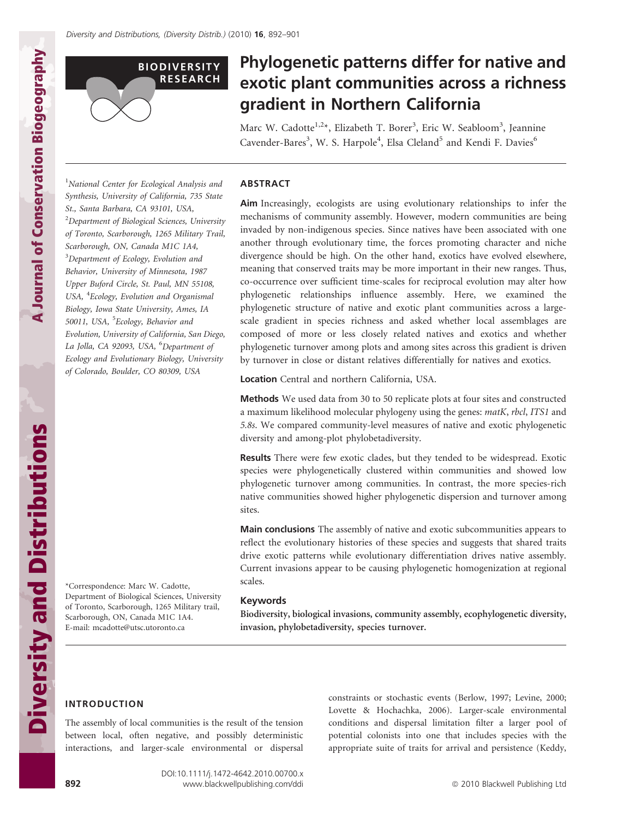

# Phylogenetic patterns differ for native and exotic plant communities across a richness gradient in Northern California

Marc W. Cadotte<sup>1,2</sup>\*, Elizabeth T. Borer<sup>3</sup>, Eric W. Seabloom<sup>3</sup>, Jeannine Cavender-Bares<sup>3</sup>, W. S. Harpole<sup>4</sup>, Elsa Cleland<sup>5</sup> and Kendi F. Davies<sup>6</sup>

<sup>1</sup>National Center for Ecological Analysis and Synthesis, University of California, 735 State St., Santa Barbara, CA 93101, USA, <sup>2</sup>Department of Biological Sciences, University of Toronto, Scarborough, 1265 Military Trail, Scarborough, ON, Canada M1C 1A4, <sup>3</sup>Department of Ecology, Evolution and Behavior, University of Minnesota, 1987 Upper Buford Circle, St. Paul, MN 55108, USA, <sup>4</sup>Ecology, Evolution and Organismal Biology, Iowa State University, Ames, IA 50011, USA, <sup>5</sup>Ecology, Behavior and Evolution, University of California, San Diego, La Jolla, CA 92093, USA, <sup>6</sup>Department of Ecology and Evolutionary Biology, University of Colorado, Boulder, CO 80309, USA

## ABSTRACT

Aim Increasingly, ecologists are using evolutionary relationships to infer the mechanisms of community assembly. However, modern communities are being invaded by non-indigenous species. Since natives have been associated with one another through evolutionary time, the forces promoting character and niche divergence should be high. On the other hand, exotics have evolved elsewhere, meaning that conserved traits may be more important in their new ranges. Thus, co-occurrence over sufficient time-scales for reciprocal evolution may alter how phylogenetic relationships influence assembly. Here, we examined the phylogenetic structure of native and exotic plant communities across a largescale gradient in species richness and asked whether local assemblages are composed of more or less closely related natives and exotics and whether phylogenetic turnover among plots and among sites across this gradient is driven by turnover in close or distant relatives differentially for natives and exotics.

Location Central and northern California, USA.

Methods We used data from 30 to 50 replicate plots at four sites and constructed a maximum likelihood molecular phylogeny using the genes: *matK, rbcl, ITS1* and 5.8s. We compared community-level measures of native and exotic phylogenetic diversity and among-plot phylobetadiversity.

Results There were few exotic clades, but they tended to be widespread. Exotic species were phylogenetically clustered within communities and showed low phylogenetic turnover among communities. In contrast, the more species-rich native communities showed higher phylogenetic dispersion and turnover among sites.

Main conclusions The assembly of native and exotic subcommunities appears to reflect the evolutionary histories of these species and suggests that shared traits drive exotic patterns while evolutionary differentiation drives native assembly. Current invasions appear to be causing phylogenetic homogenization at regional scales.

### Keywords

Biodiversity, biological invasions, community assembly, ecophylogenetic diversity, invasion, phylobetadiversity, species turnover.

\*Correspondence: Marc W. Cadotte, Department of Biological Sciences, University of Toronto, Scarborough, 1265 Military trail, Scarborough, ON, Canada M1C 1A4. E-mail: mcadotte@utsc.utoronto.ca

# INTRODUCTION

The assembly of local communities is the result of the tension between local, often negative, and possibly deterministic interactions, and larger-scale environmental or dispersal constraints or stochastic events (Berlow, 1997; Levine, 2000; Lovette & Hochachka, 2006). Larger-scale environmental conditions and dispersal limitation filter a larger pool of potential colonists into one that includes species with the appropriate suite of traits for arrival and persistence (Keddy,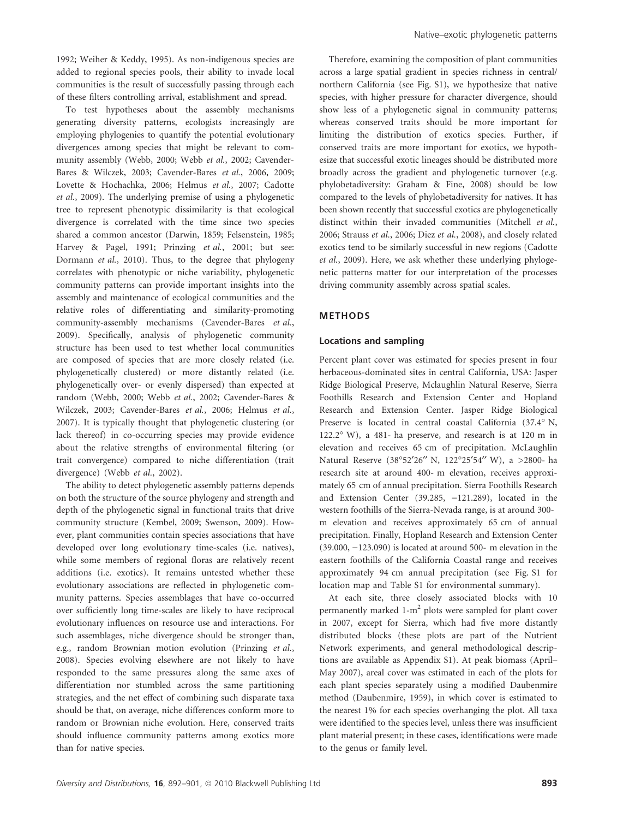1992; Weiher & Keddy, 1995). As non-indigenous species are added to regional species pools, their ability to invade local communities is the result of successfully passing through each of these filters controlling arrival, establishment and spread.

To test hypotheses about the assembly mechanisms generating diversity patterns, ecologists increasingly are employing phylogenies to quantify the potential evolutionary divergences among species that might be relevant to community assembly (Webb, 2000; Webb et al., 2002; Cavender-Bares & Wilczek, 2003; Cavender-Bares et al., 2006, 2009; Lovette & Hochachka, 2006; Helmus et al., 2007; Cadotte et al., 2009). The underlying premise of using a phylogenetic tree to represent phenotypic dissimilarity is that ecological divergence is correlated with the time since two species shared a common ancestor (Darwin, 1859; Felsenstein, 1985; Harvey & Pagel, 1991; Prinzing et al., 2001; but see: Dormann et al., 2010). Thus, to the degree that phylogeny correlates with phenotypic or niche variability, phylogenetic community patterns can provide important insights into the assembly and maintenance of ecological communities and the relative roles of differentiating and similarity-promoting community-assembly mechanisms (Cavender-Bares et al., 2009). Specifically, analysis of phylogenetic community structure has been used to test whether local communities are composed of species that are more closely related (i.e. phylogenetically clustered) or more distantly related (i.e. phylogenetically over- or evenly dispersed) than expected at random (Webb, 2000; Webb et al., 2002; Cavender-Bares & Wilczek, 2003; Cavender-Bares et al., 2006; Helmus et al., 2007). It is typically thought that phylogenetic clustering (or lack thereof) in co-occurring species may provide evidence about the relative strengths of environmental filtering (or trait convergence) compared to niche differentiation (trait divergence) (Webb et al., 2002).

The ability to detect phylogenetic assembly patterns depends on both the structure of the source phylogeny and strength and depth of the phylogenetic signal in functional traits that drive community structure (Kembel, 2009; Swenson, 2009). However, plant communities contain species associations that have developed over long evolutionary time-scales (i.e. natives), while some members of regional floras are relatively recent additions (i.e. exotics). It remains untested whether these evolutionary associations are reflected in phylogenetic community patterns. Species assemblages that have co-occurred over sufficiently long time-scales are likely to have reciprocal evolutionary influences on resource use and interactions. For such assemblages, niche divergence should be stronger than, e.g., random Brownian motion evolution (Prinzing et al., 2008). Species evolving elsewhere are not likely to have responded to the same pressures along the same axes of differentiation nor stumbled across the same partitioning strategies, and the net effect of combining such disparate taxa should be that, on average, niche differences conform more to random or Brownian niche evolution. Here, conserved traits should influence community patterns among exotics more than for native species.

Therefore, examining the composition of plant communities across a large spatial gradient in species richness in central/ northern California (see Fig. S1), we hypothesize that native species, with higher pressure for character divergence, should show less of a phylogenetic signal in community patterns; whereas conserved traits should be more important for limiting the distribution of exotics species. Further, if conserved traits are more important for exotics, we hypothesize that successful exotic lineages should be distributed more broadly across the gradient and phylogenetic turnover (e.g. phylobetadiversity: Graham & Fine, 2008) should be low compared to the levels of phylobetadiversity for natives. It has been shown recently that successful exotics are phylogenetically distinct within their invaded communities (Mitchell et al., 2006; Strauss et al., 2006; Diez et al., 2008), and closely related exotics tend to be similarly successful in new regions (Cadotte et al., 2009). Here, we ask whether these underlying phylogenetic patterns matter for our interpretation of the processes driving community assembly across spatial scales.

# METHODS

## Locations and sampling

Percent plant cover was estimated for species present in four herbaceous-dominated sites in central California, USA: Jasper Ridge Biological Preserve, Mclaughlin Natural Reserve, Sierra Foothills Research and Extension Center and Hopland Research and Extension Center. Jasper Ridge Biological Preserve is located in central coastal California (37.4° N,  $122.2^{\circ}$  W), a 481- ha preserve, and research is at 120 m in elevation and receives 65 cm of precipitation. McLaughlin Natural Reserve (38°52'26" N, 122°25'54" W), a >2800- ha research site at around 400- m elevation, receives approximately 65 cm of annual precipitation. Sierra Foothills Research and Extension Center (39.285,  $-121.289$ ), located in the western foothills of the Sierra-Nevada range, is at around 300 m elevation and receives approximately 65 cm of annual precipitation. Finally, Hopland Research and Extension Center  $(39.000, -123.090)$  is located at around 500- m elevation in the eastern foothills of the California Coastal range and receives approximately 94 cm annual precipitation (see Fig. S1 for location map and Table S1 for environmental summary).

At each site, three closely associated blocks with 10 permanently marked  $1-m^2$  plots were sampled for plant cover in 2007, except for Sierra, which had five more distantly distributed blocks (these plots are part of the Nutrient Network experiments, and general methodological descriptions are available as Appendix S1). At peak biomass (April– May 2007), areal cover was estimated in each of the plots for each plant species separately using a modified Daubenmire method (Daubenmire, 1959), in which cover is estimated to the nearest 1% for each species overhanging the plot. All taxa were identified to the species level, unless there was insufficient plant material present; in these cases, identifications were made to the genus or family level.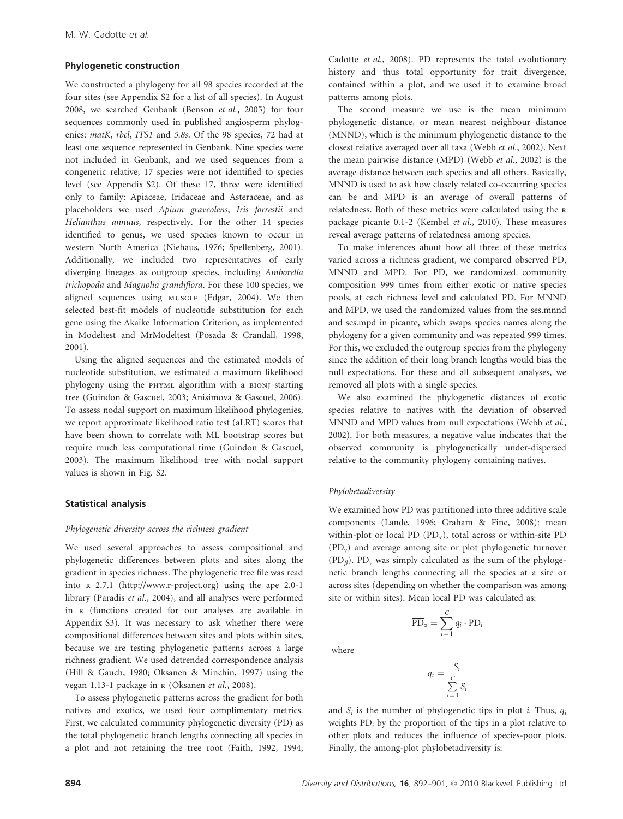## Phylogenetic construction

We constructed a phylogeny for all 98 species recorded at the four sites (see Appendix S2 for a list of all species). In August 2008, we searched Genbank (Benson et al., 2005) for four sequences commonly used in published angiosperm phylogenies: matK, rbcl, ITS1 and 5.8s. Of the 98 species, 72 had at least one sequence represented in Genbank. Nine species were not included in Genbank, and we used sequences from a congeneric relative; 17 species were not identified to species level (see Appendix S2). Of these 17, three were identified only to family: Apiaceae, Iridaceae and Asteraceae, and as placeholders we used Apium graveolens, Iris forrestii and Helianthus annuus, respectively. For the other 14 species identified to genus, we used species known to occur in western North America (Niehaus, 1976; Spellenberg, 2001). Additionally, we included two representatives of early diverging lineages as outgroup species, including Amborella trichopoda and Magnolia grandiflora. For these 100 species, we aligned sequences using MUSCLE (Edgar, 2004). We then selected best-fit models of nucleotide substitution for each gene using the Akaike Information Criterion, as implemented in Modeltest and MrModeltest (Posada & Crandall, 1998, 2001).

Using the aligned sequences and the estimated models of nucleotide substitution, we estimated a maximum likelihood phylogeny using the phyml algorithm with a bionj starting tree (Guindon & Gascuel, 2003; Anisimova & Gascuel, 2006). To assess nodal support on maximum likelihood phylogenies, we report approximate likelihood ratio test (aLRT) scores that have been shown to correlate with ML bootstrap scores but require much less computational time (Guindon & Gascuel, 2003). The maximum likelihood tree with nodal support values is shown in Fig. S2.

#### Statistical analysis

#### Phylogenetic diversity across the richness gradient

We used several approaches to assess compositional and phylogenetic differences between plots and sites along the gradient in species richness. The phylogenetic tree file was read into  $\kappa$  2.7.1 (http://www.r-project.org) using the ape 2.0-1 library (Paradis et al., 2004), and all analyses were performed in R (functions created for our analyses are available in Appendix S3). It was necessary to ask whether there were compositional differences between sites and plots within sites, because we are testing phylogenetic patterns across a large richness gradient. We used detrended correspondence analysis (Hill & Gauch, 1980; Oksanen & Minchin, 1997) using the vegan 1.13-1 package in r (Oksanen et al., 2008).

To assess phylogenetic patterns across the gradient for both natives and exotics, we used four complimentary metrics. First, we calculated community phylogenetic diversity (PD) as the total phylogenetic branch lengths connecting all species in a plot and not retaining the tree root (Faith, 1992, 1994; Cadotte et al., 2008). PD represents the total evolutionary history and thus total opportunity for trait divergence, contained within a plot, and we used it to examine broad patterns among plots.

The second measure we use is the mean minimum phylogenetic distance, or mean nearest neighbour distance (MNND), which is the minimum phylogenetic distance to the closest relative averaged over all taxa (Webb et al., 2002). Next the mean pairwise distance (MPD) (Webb et al., 2002) is the average distance between each species and all others. Basically, MNND is used to ask how closely related co-occurring species can be and MPD is an average of overall patterns of relatedness. Both of these metrics were calculated using the r package picante 0.1-2 (Kembel et al., 2010). These measures reveal average patterns of relatedness among species.

To make inferences about how all three of these metrics varied across a richness gradient, we compared observed PD, MNND and MPD. For PD, we randomized community composition 999 times from either exotic or native species pools, at each richness level and calculated PD. For MNND and MPD, we used the randomized values from the ses.mnnd and ses.mpd in picante, which swaps species names along the phylogeny for a given community and was repeated 999 times. For this, we excluded the outgroup species from the phylogeny since the addition of their long branch lengths would bias the null expectations. For these and all subsequent analyses, we removed all plots with a single species.

We also examined the phylogenetic distances of exotic species relative to natives with the deviation of observed MNND and MPD values from null expectations (Webb et al., 2002). For both measures, a negative value indicates that the observed community is phylogenetically under-dispersed relative to the community phylogeny containing natives.

#### Phylobetadiversity

We examined how PD was partitioned into three additive scale components (Lande, 1996; Graham & Fine, 2008): mean within-plot or local PD  $(\overline{PD}_{\alpha})$ , total across or within-site PD  $(PD<sub>v</sub>)$  and average among site or plot phylogenetic turnover (PD $_{\beta}$ ). PD<sub>y</sub> was simply calculated as the sum of the phylogenetic branch lengths connecting all the species at a site or across sites (depending on whether the comparison was among site or within sites). Mean local PD was calculated as:

$$
\overline{\mathrm{PD}}_{\alpha} = \sum_{i=1}^{C} q_i \cdot \mathrm{PD}_i
$$

where

$$
q_i = \frac{S_i}{\sum\limits_{i=1}^{C} S_i}
$$

and  $S_i$  is the number of phylogenetic tips in plot *i*. Thus,  $q_i$ weights  $PD_i$  by the proportion of the tips in a plot relative to other plots and reduces the influence of species-poor plots. Finally, the among-plot phylobetadiversity is: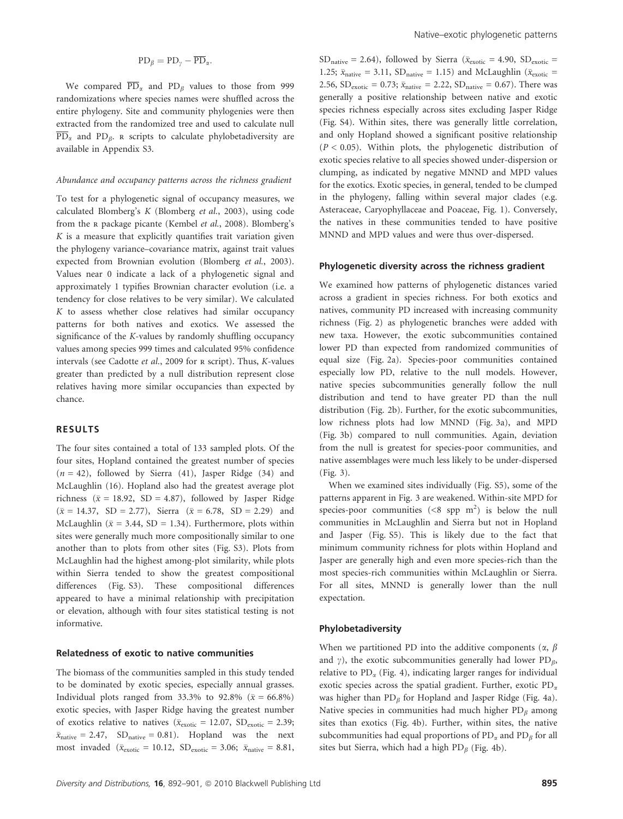$$
PD_{\beta} = PD_{\gamma} - \overline{PD}_{\alpha}.
$$

We compared  $\overline{PD}_{\alpha}$  and  $PD_{\beta}$  values to those from 999 randomizations where species names were shuffled across the entire phylogeny. Site and community phylogenies were then extracted from the randomized tree and used to calculate null  $\overline{PD}_{\alpha}$  and PD<sub> $\beta$ </sub>. R scripts to calculate phylobetadiversity are available in Appendix S3.

## Abundance and occupancy patterns across the richness gradient

To test for a phylogenetic signal of occupancy measures, we calculated Blomberg's K (Blomberg et al., 2003), using code from the r package picante (Kembel et al., 2008). Blomberg's  $K$  is a measure that explicitly quantifies trait variation given the phylogeny variance–covariance matrix, against trait values expected from Brownian evolution (Blomberg et al., 2003). Values near 0 indicate a lack of a phylogenetic signal and approximately 1 typifies Brownian character evolution (i.e. a tendency for close relatives to be very similar). We calculated K to assess whether close relatives had similar occupancy patterns for both natives and exotics. We assessed the significance of the K-values by randomly shuffling occupancy values among species 999 times and calculated 95% confidence intervals (see Cadotte et al., 2009 for R script). Thus, K-values greater than predicted by a null distribution represent close relatives having more similar occupancies than expected by chance.

## RESULTS

The four sites contained a total of 133 sampled plots. Of the four sites, Hopland contained the greatest number of species  $(n = 42)$ , followed by Sierra (41), Jasper Ridge (34) and McLaughlin (16). Hopland also had the greatest average plot richness ( $\bar{x}$  = 18.92, SD = 4.87), followed by Jasper Ridge  $(\bar{x} = 14.37, SD = 2.77)$ , Sierra  $(\bar{x} = 6.78, SD = 2.29)$  and McLaughlin ( $\bar{x}$  = 3.44, SD = 1.34). Furthermore, plots within sites were generally much more compositionally similar to one another than to plots from other sites (Fig. S3). Plots from McLaughlin had the highest among-plot similarity, while plots within Sierra tended to show the greatest compositional differences (Fig. S3). These compositional differences appeared to have a minimal relationship with precipitation or elevation, although with four sites statistical testing is not informative.

## Relatedness of exotic to native communities

The biomass of the communities sampled in this study tended to be dominated by exotic species, especially annual grasses. Individual plots ranged from 33.3% to 92.8% ( $\bar{x} = 66.8\%$ ) exotic species, with Jasper Ridge having the greatest number of exotics relative to natives ( $\bar{x}_{\text{exotic}} = 12.07$ , SD<sub>exotic</sub> = 2.39;  $\bar{x}_{\text{native}} = 2.47$ ,  $SD_{\text{native}} = 0.81$ ). Hopland was the next most invaded ( $\bar{x}_{\text{exotic}} = 10.12$ , SD<sub>exotic</sub> = 3.06;  $\bar{x}_{\text{native}} = 8.81$ ,

 $SD_{\text{native}} = 2.64$ ), followed by Sierra ( $\bar{x}_{\text{exotic}} = 4.90$ ,  $SD_{\text{exotic}} =$ 1.25;  $\bar{x}_{\text{native}} = 3.11$ , SD<sub>native</sub> = 1.15) and McLaughlin ( $\bar{x}_{\text{exotic}} =$ 2.56,  $SD_{\text{exotic}} = 0.73$ ;  $\bar{x}_{\text{native}} = 2.22$ ,  $SD_{\text{native}} = 0.67$ ). There was generally a positive relationship between native and exotic species richness especially across sites excluding Jasper Ridge (Fig. S4). Within sites, there was generally little correlation, and only Hopland showed a significant positive relationship  $(P < 0.05)$ . Within plots, the phylogenetic distribution of exotic species relative to all species showed under-dispersion or clumping, as indicated by negative MNND and MPD values for the exotics. Exotic species, in general, tended to be clumped in the phylogeny, falling within several major clades (e.g. Asteraceae, Caryophyllaceae and Poaceae, Fig. 1). Conversely, the natives in these communities tended to have positive MNND and MPD values and were thus over-dispersed.

#### Phylogenetic diversity across the richness gradient

We examined how patterns of phylogenetic distances varied across a gradient in species richness. For both exotics and natives, community PD increased with increasing community richness (Fig. 2) as phylogenetic branches were added with new taxa. However, the exotic subcommunities contained lower PD than expected from randomized communities of equal size (Fig. 2a). Species-poor communities contained especially low PD, relative to the null models. However, native species subcommunities generally follow the null distribution and tend to have greater PD than the null distribution (Fig. 2b). Further, for the exotic subcommunities, low richness plots had low MNND (Fig. 3a), and MPD (Fig. 3b) compared to null communities. Again, deviation from the null is greatest for species-poor communities, and native assemblages were much less likely to be under-dispersed (Fig. 3).

When we examined sites individually (Fig. S5), some of the patterns apparent in Fig. 3 are weakened. Within-site MPD for species-poor communities  $( $8$  spp m<sup>2</sup>)$  is below the null communities in McLaughlin and Sierra but not in Hopland and Jasper (Fig. S5). This is likely due to the fact that minimum community richness for plots within Hopland and Jasper are generally high and even more species-rich than the most species-rich communities within McLaughlin or Sierra. For all sites, MNND is generally lower than the null expectation.

## Phylobetadiversity

When we partitioned PD into the additive components ( $\alpha$ ,  $\beta$ ) and  $\gamma$ ), the exotic subcommunities generally had lower PD<sub> $\beta$ </sub>, relative to  $PD_{\alpha}$  (Fig. 4), indicating larger ranges for individual exotic species across the spatial gradient. Further, exotic  $PD_{\alpha}$ was higher than  $PD_\beta$  for Hopland and Jasper Ridge (Fig. 4a). Native species in communities had much higher  $PD_\beta$  among sites than exotics (Fig. 4b). Further, within sites, the native subcommunities had equal proportions of  $PD_{\alpha}$  and  $PD_{\beta}$  for all sites but Sierra, which had a high  $PD_B$  (Fig. 4b).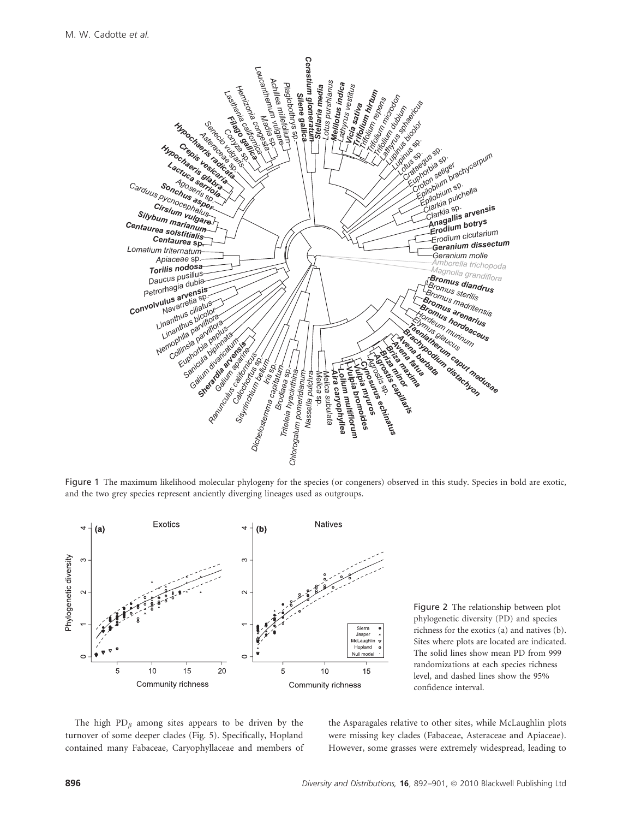

Figure 1 The maximum likelihood molecular phylogeny for the species (or congeners) observed in this study. Species in bold are exotic, and the two grey species represent anciently diverging lineages used as outgroups.



Figure 2 The relationship between plot phylogenetic diversity (PD) and species richness for the exotics (a) and natives (b). Sites where plots are located are indicated. The solid lines show mean PD from 999 randomizations at each species richness level, and dashed lines show the 95% confidence interval.

The high  $PD_\beta$  among sites appears to be driven by the turnover of some deeper clades (Fig. 5). Specifically, Hopland contained many Fabaceae, Caryophyllaceae and members of the Asparagales relative to other sites, while McLaughlin plots were missing key clades (Fabaceae, Asteraceae and Apiaceae). However, some grasses were extremely widespread, leading to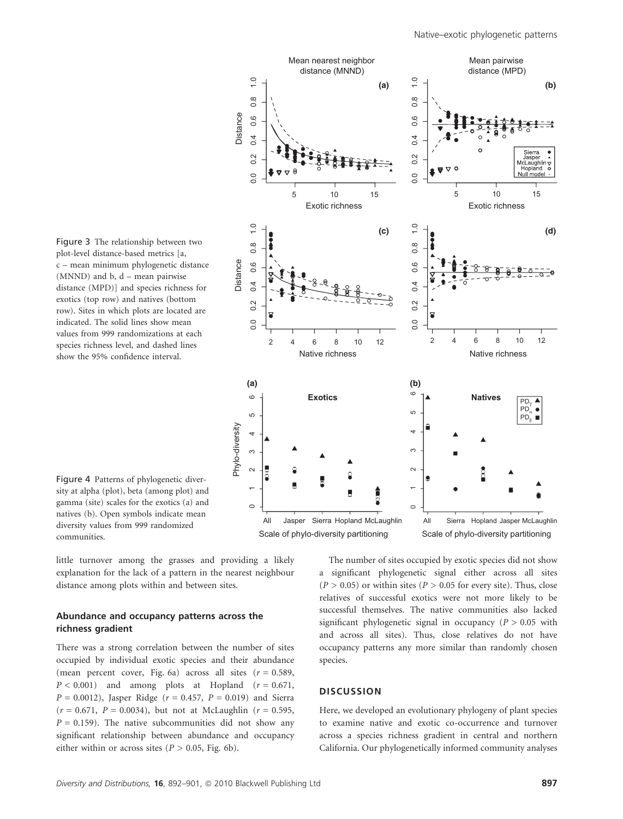Figure 3 The relationship between two plot-level distance-based metrics [a, c – mean minimum phylogenetic distance (MNND) and b, d – mean pairwise distance (MPD)] and species richness for exotics (top row) and natives (bottom row). Sites in which plots are located are indicated. The solid lines show mean values from 999 randomizations at each species richness level, and dashed lines show the 95% confidence interval.



Figure 4 Patterns of phylogenetic diversity at alpha (plot), beta (among plot) and gamma (site) scales for the exotics (a) and natives (b). Open symbols indicate mean diversity values from 999 randomized communities.

little turnover among the grasses and providing a likely explanation for the lack of a pattern in the nearest neighbour distance among plots within and between sites.

## Abundance and occupancy patterns across the richness gradient

There was a strong correlation between the number of sites occupied by individual exotic species and their abundance (mean percent cover, Fig. 6a) across all sites  $(r = 0.589,$  $P < 0.001$ ) and among plots at Hopland  $(r = 0.671,$  $P = 0.0012$ ), Jasper Ridge ( $r = 0.457$ ,  $P = 0.019$ ) and Sierra  $(r = 0.671, P = 0.0034)$ , but not at McLaughlin  $(r = 0.595,$  $P = 0.159$ ). The native subcommunities did not show any significant relationship between abundance and occupancy either within or across sites ( $P > 0.05$ , Fig. 6b).

The number of sites occupied by exotic species did not show a significant phylogenetic signal either across all sites  $(P > 0.05)$  or within sites  $(P > 0.05$  for every site). Thus, close relatives of successful exotics were not more likely to be successful themselves. The native communities also lacked significant phylogenetic signal in occupancy  $(P > 0.05$  with and across all sites). Thus, close relatives do not have occupancy patterns any more similar than randomly chosen species.

# **DISCUSSION**

Here, we developed an evolutionary phylogeny of plant species to examine native and exotic co-occurrence and turnover across a species richness gradient in central and northern California. Our phylogenetically informed community analyses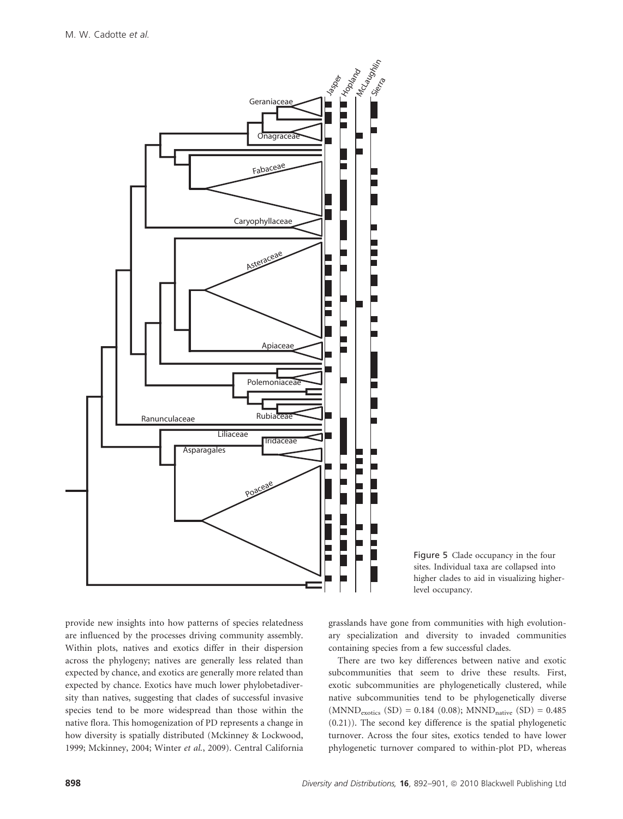

Figure 5 Clade occupancy in the four sites. Individual taxa are collapsed into higher clades to aid in visualizing higherlevel occupancy.

provide new insights into how patterns of species relatedness are influenced by the processes driving community assembly. Within plots, natives and exotics differ in their dispersion across the phylogeny; natives are generally less related than expected by chance, and exotics are generally more related than expected by chance. Exotics have much lower phylobetadiversity than natives, suggesting that clades of successful invasive species tend to be more widespread than those within the native flora. This homogenization of PD represents a change in how diversity is spatially distributed (Mckinney & Lockwood, 1999; Mckinney, 2004; Winter et al., 2009). Central California

grasslands have gone from communities with high evolutionary specialization and diversity to invaded communities containing species from a few successful clades.

There are two key differences between native and exotic subcommunities that seem to drive these results. First, exotic subcommunities are phylogenetically clustered, while native subcommunities tend to be phylogenetically diverse  $(MNND_{exotics} (SD) = 0.184 (0.08); MNND_{native} (SD) = 0.485$ (0.21)). The second key difference is the spatial phylogenetic turnover. Across the four sites, exotics tended to have lower phylogenetic turnover compared to within-plot PD, whereas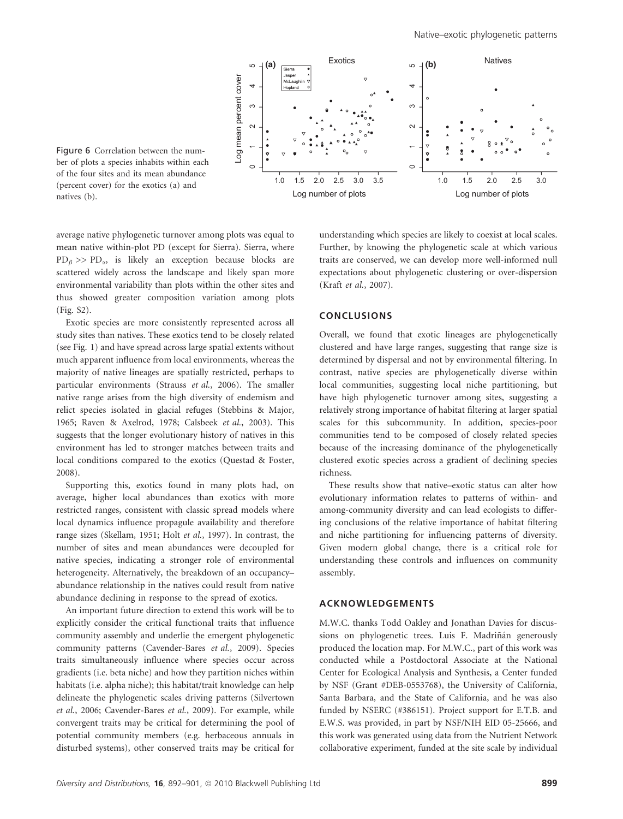

Figure 6 Correlation between the number of plots a species inhabits within each of the four sites and its mean abundance (percent cover) for the exotics (a) and natives (b).

average native phylogenetic turnover among plots was equal to mean native within-plot PD (except for Sierra). Sierra, where  $PD_B \gg PD_{\alpha}$  is likely an exception because blocks are scattered widely across the landscape and likely span more environmental variability than plots within the other sites and thus showed greater composition variation among plots (Fig. S2).

Exotic species are more consistently represented across all study sites than natives. These exotics tend to be closely related (see Fig. 1) and have spread across large spatial extents without much apparent influence from local environments, whereas the majority of native lineages are spatially restricted, perhaps to particular environments (Strauss et al., 2006). The smaller native range arises from the high diversity of endemism and relict species isolated in glacial refuges (Stebbins & Major, 1965; Raven & Axelrod, 1978; Calsbeek et al., 2003). This suggests that the longer evolutionary history of natives in this environment has led to stronger matches between traits and local conditions compared to the exotics (Questad & Foster, 2008).

Supporting this, exotics found in many plots had, on average, higher local abundances than exotics with more restricted ranges, consistent with classic spread models where local dynamics influence propagule availability and therefore range sizes (Skellam, 1951; Holt et al., 1997). In contrast, the number of sites and mean abundances were decoupled for native species, indicating a stronger role of environmental heterogeneity. Alternatively, the breakdown of an occupancy– abundance relationship in the natives could result from native abundance declining in response to the spread of exotics.

An important future direction to extend this work will be to explicitly consider the critical functional traits that influence community assembly and underlie the emergent phylogenetic community patterns (Cavender-Bares et al., 2009). Species traits simultaneously influence where species occur across gradients (i.e. beta niche) and how they partition niches within habitats (i.e. alpha niche); this habitat/trait knowledge can help delineate the phylogenetic scales driving patterns (Silvertown et al., 2006; Cavender-Bares et al., 2009). For example, while convergent traits may be critical for determining the pool of potential community members (e.g. herbaceous annuals in disturbed systems), other conserved traits may be critical for understanding which species are likely to coexist at local scales. Further, by knowing the phylogenetic scale at which various traits are conserved, we can develop more well-informed null expectations about phylogenetic clustering or over-dispersion (Kraft et al., 2007).

## CONCLUSIONS

Overall, we found that exotic lineages are phylogenetically clustered and have large ranges, suggesting that range size is determined by dispersal and not by environmental filtering. In contrast, native species are phylogenetically diverse within local communities, suggesting local niche partitioning, but have high phylogenetic turnover among sites, suggesting a relatively strong importance of habitat filtering at larger spatial scales for this subcommunity. In addition, species-poor communities tend to be composed of closely related species because of the increasing dominance of the phylogenetically clustered exotic species across a gradient of declining species richness.

These results show that native–exotic status can alter how evolutionary information relates to patterns of within- and among-community diversity and can lead ecologists to differing conclusions of the relative importance of habitat filtering and niche partitioning for influencing patterns of diversity. Given modern global change, there is a critical role for understanding these controls and influences on community assembly.

# ACKNOWLEDGEMENTS

M.W.C. thanks Todd Oakley and Jonathan Davies for discussions on phylogenetic trees. Luis F. Madriñán generously produced the location map. For M.W.C., part of this work was conducted while a Postdoctoral Associate at the National Center for Ecological Analysis and Synthesis, a Center funded by NSF (Grant #DEB-0553768), the University of California, Santa Barbara, and the State of California, and he was also funded by NSERC (#386151). Project support for E.T.B. and E.W.S. was provided, in part by NSF/NIH EID 05-25666, and this work was generated using data from the Nutrient Network collaborative experiment, funded at the site scale by individual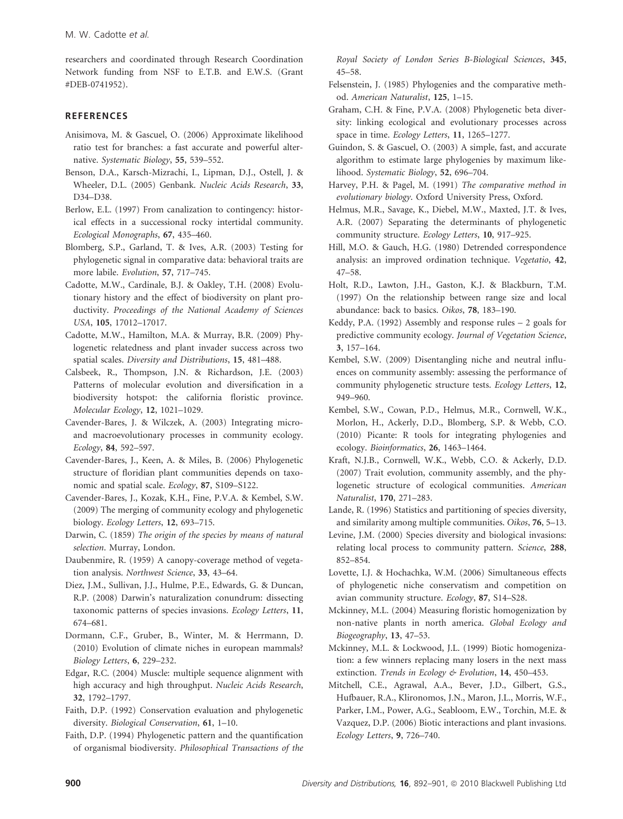researchers and coordinated through Research Coordination Network funding from NSF to E.T.B. and E.W.S. (Grant #DEB-0741952).

# REFERENCES

- Anisimova, M. & Gascuel, O. (2006) Approximate likelihood ratio test for branches: a fast accurate and powerful alternative. Systematic Biology, 55, 539–552.
- Benson, D.A., Karsch-Mizrachi, I., Lipman, D.J., Ostell, J. & Wheeler, D.L. (2005) Genbank. Nucleic Acids Research, 33, D34–D38.
- Berlow, E.L. (1997) From canalization to contingency: historical effects in a successional rocky intertidal community. Ecological Monographs, 67, 435–460.
- Blomberg, S.P., Garland, T. & Ives, A.R. (2003) Testing for phylogenetic signal in comparative data: behavioral traits are more labile. Evolution, 57, 717–745.
- Cadotte, M.W., Cardinale, B.J. & Oakley, T.H. (2008) Evolutionary history and the effect of biodiversity on plant productivity. Proceedings of the National Academy of Sciences USA, 105, 17012–17017.
- Cadotte, M.W., Hamilton, M.A. & Murray, B.R. (2009) Phylogenetic relatedness and plant invader success across two spatial scales. Diversity and Distributions, 15, 481–488.
- Calsbeek, R., Thompson, J.N. & Richardson, J.E. (2003) Patterns of molecular evolution and diversification in a biodiversity hotspot: the california floristic province. Molecular Ecology, 12, 1021–1029.
- Cavender-Bares, J. & Wilczek, A. (2003) Integrating microand macroevolutionary processes in community ecology. Ecology, 84, 592–597.
- Cavender-Bares, J., Keen, A. & Miles, B. (2006) Phylogenetic structure of floridian plant communities depends on taxonomic and spatial scale. Ecology, 87, S109–S122.
- Cavender-Bares, J., Kozak, K.H., Fine, P.V.A. & Kembel, S.W. (2009) The merging of community ecology and phylogenetic biology. Ecology Letters, 12, 693–715.
- Darwin, C. (1859) The origin of the species by means of natural selection. Murray, London.
- Daubenmire, R. (1959) A canopy-coverage method of vegetation analysis. Northwest Science, 33, 43–64.
- Diez, J.M., Sullivan, J.J., Hulme, P.E., Edwards, G. & Duncan, R.P. (2008) Darwin's naturalization conundrum: dissecting taxonomic patterns of species invasions. Ecology Letters, 11, 674–681.
- Dormann, C.F., Gruber, B., Winter, M. & Herrmann, D. (2010) Evolution of climate niches in european mammals? Biology Letters, 6, 229–232.
- Edgar, R.C. (2004) Muscle: multiple sequence alignment with high accuracy and high throughput. Nucleic Acids Research, 32, 1792–1797.
- Faith, D.P. (1992) Conservation evaluation and phylogenetic diversity. Biological Conservation, 61, 1–10.
- Faith, D.P. (1994) Phylogenetic pattern and the quantification of organismal biodiversity. Philosophical Transactions of the

Royal Society of London Series B-Biological Sciences, 345, 45–58.

- Felsenstein, J. (1985) Phylogenies and the comparative method. American Naturalist, 125, 1–15.
- Graham, C.H. & Fine, P.V.A. (2008) Phylogenetic beta diversity: linking ecological and evolutionary processes across space in time. Ecology Letters, 11, 1265–1277.
- Guindon, S. & Gascuel, O. (2003) A simple, fast, and accurate algorithm to estimate large phylogenies by maximum likelihood. Systematic Biology, 52, 696–704.
- Harvey, P.H. & Pagel, M. (1991) The comparative method in evolutionary biology. Oxford University Press, Oxford.
- Helmus, M.R., Savage, K., Diebel, M.W., Maxted, J.T. & Ives, A.R. (2007) Separating the determinants of phylogenetic community structure. Ecology Letters, 10, 917–925.
- Hill, M.O. & Gauch, H.G. (1980) Detrended correspondence analysis: an improved ordination technique. Vegetatio, 42, 47–58.
- Holt, R.D., Lawton, J.H., Gaston, K.J. & Blackburn, T.M. (1997) On the relationship between range size and local abundance: back to basics. Oikos, 78, 183–190.
- Keddy, P.A. (1992) Assembly and response rules 2 goals for predictive community ecology. Journal of Vegetation Science, 3, 157–164.
- Kembel, S.W. (2009) Disentangling niche and neutral influences on community assembly: assessing the performance of community phylogenetic structure tests. Ecology Letters, 12, 949–960.
- Kembel, S.W., Cowan, P.D., Helmus, M.R., Cornwell, W.K., Morlon, H., Ackerly, D.D., Blomberg, S.P. & Webb, C.O. (2010) Picante: R tools for integrating phylogenies and ecology. Bioinformatics, 26, 1463–1464.
- Kraft, N.J.B., Cornwell, W.K., Webb, C.O. & Ackerly, D.D. (2007) Trait evolution, community assembly, and the phylogenetic structure of ecological communities. American Naturalist, 170, 271–283.
- Lande, R. (1996) Statistics and partitioning of species diversity, and similarity among multiple communities. Oikos, 76, 5–13.
- Levine, J.M. (2000) Species diversity and biological invasions: relating local process to community pattern. Science, 288, 852–854.
- Lovette, I.J. & Hochachka, W.M. (2006) Simultaneous effects of phylogenetic niche conservatism and competition on avian community structure. Ecology, 87, S14–S28.
- Mckinney, M.L. (2004) Measuring floristic homogenization by non-native plants in north america. Global Ecology and Biogeography, 13, 47–53.
- Mckinney, M.L. & Lockwood, J.L. (1999) Biotic homogenization: a few winners replacing many losers in the next mass extinction. Trends in Ecology & Evolution, 14, 450–453.
- Mitchell, C.E., Agrawal, A.A., Bever, J.D., Gilbert, G.S., Hufbauer, R.A., Klironomos, J.N., Maron, J.L., Morris, W.F., Parker, I.M., Power, A.G., Seabloom, E.W., Torchin, M.E. & Vazquez, D.P. (2006) Biotic interactions and plant invasions. Ecology Letters, 9, 726–740.